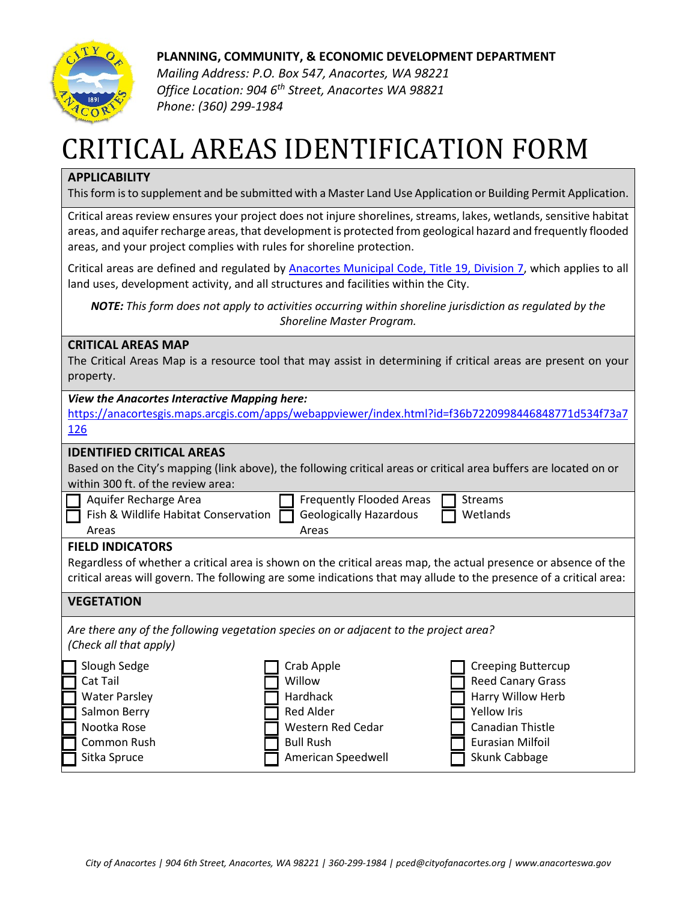

**PLANNING, COMMUNITY, & ECONOMIC DEVELOPMENT DEPARTMENT**

*Mailing Address: P.O. Box 547, Anacortes, WA 98221 Office Location: 904 6th Street, Anacortes WA 98821 Phone: (360) 299-1984*

## CRITICAL AREAS IDENTIFICATION FORM

## **APPLICABILITY**

This form is to supplement and be submitted with a Master Land Use Application or Building Permit Application.

Critical areas review ensures your project does not injure shorelines, streams, lakes, wetlands, sensitive habitat areas, and aquifer recharge areas, that development is protected from geological hazard and frequently flooded areas, and your project complies with rules for shoreline protection.

Critical areas are defined and regulated by **Anacortes Municipal Code, Title 19, Division 7**, which applies to all land uses, development activity, and all structures and facilities within the City.

*NOTE: This form does not apply to activities occurring within shoreline jurisdiction as regulated by the Shoreline Master Program.*

## **CRITICAL AREAS MAP**

The Critical Areas Map is a resource tool that may assist in determining if critical areas are present on your property.

| <b>View the Anacortes Interactive Mapping here:</b>                                                                |                                 |                           |  |
|--------------------------------------------------------------------------------------------------------------------|---------------------------------|---------------------------|--|
| https://anacortesgis.maps.arcgis.com/apps/webappviewer/index.html?id=f36b7220998446848771d534f73a7                 |                                 |                           |  |
| 126                                                                                                                |                                 |                           |  |
| <b>IDENTIFIED CRITICAL AREAS</b>                                                                                   |                                 |                           |  |
|                                                                                                                    |                                 |                           |  |
| Based on the City's mapping (link above), the following critical areas or critical area buffers are located on or  |                                 |                           |  |
| within 300 ft. of the review area:                                                                                 |                                 |                           |  |
| Aquifer Recharge Area                                                                                              | <b>Frequently Flooded Areas</b> | <b>Streams</b>            |  |
| Fish & Wildlife Habitat Conservation                                                                               | <b>Geologically Hazardous</b>   | Wetlands                  |  |
| Areas                                                                                                              | Areas                           |                           |  |
| <b>FIELD INDICATORS</b>                                                                                            |                                 |                           |  |
| Regardless of whether a critical area is shown on the critical areas map, the actual presence or absence of the    |                                 |                           |  |
| critical areas will govern. The following are some indications that may allude to the presence of a critical area: |                                 |                           |  |
|                                                                                                                    |                                 |                           |  |
| <b>VEGETATION</b>                                                                                                  |                                 |                           |  |
| Are there any of the following vegetation species on or adjacent to the project area?                              |                                 |                           |  |
| (Check all that apply)                                                                                             |                                 |                           |  |
|                                                                                                                    |                                 |                           |  |
| Slough Sedge                                                                                                       | Crab Apple                      | <b>Creeping Buttercup</b> |  |
| Cat Tail                                                                                                           | Willow                          | <b>Reed Canary Grass</b>  |  |
| <b>Water Parsley</b>                                                                                               | Hardhack                        | Harry Willow Herb         |  |
| Salmon Berry                                                                                                       | <b>Red Alder</b>                | <b>Yellow Iris</b>        |  |
| Nootka Rose                                                                                                        | Western Red Cedar               | Canadian Thistle          |  |
| Common Rush                                                                                                        | <b>Bull Rush</b>                | Eurasian Milfoil          |  |
| Sitka Spruce                                                                                                       | American Speedwell              | Skunk Cabbage             |  |